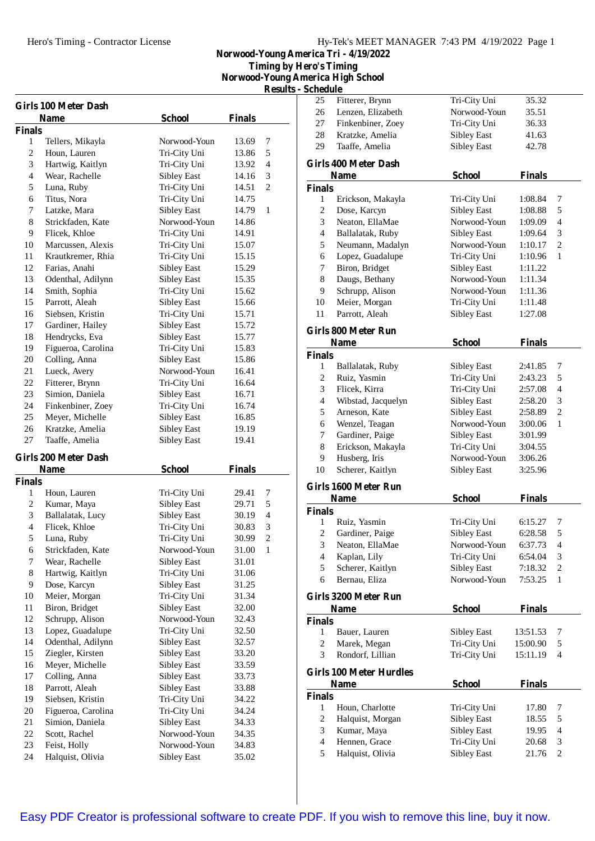## Hy-Tek's MEET MANAGER 7:43 PM 4/19/2022 Page 1

**Norwood-Young America Tri - 4/19/2022 Timing by Hero's Timing**

**Norwood-Young America High School Results - Schedule**

| Kesuns - Schedi |  |  |  |
|-----------------|--|--|--|
|                 |  |  |  |

|                | <b>Girls 100 Meter Dash</b>           |                                          |                |                |
|----------------|---------------------------------------|------------------------------------------|----------------|----------------|
|                | <b>Name</b>                           | School                                   | <b>Finals</b>  |                |
| <b>Finals</b>  |                                       |                                          |                |                |
| 1              | Tellers, Mikayla                      | Norwood-Youn                             | 13.69          | 7              |
| 2              | Houn, Lauren                          | Tri-City Uni                             | 13.86          | 5              |
| 3              | Hartwig, Kaitlyn                      | Tri-City Uni                             | 13.92          | 4              |
| 4              | Wear, Rachelle                        | <b>Sibley East</b>                       | 14.16          | 3              |
| 5              | Luna, Ruby                            | Tri-City Uni                             | 14.51          | 2              |
| 6              | Titus, Nora                           | Tri-City Uni                             | 14.75          |                |
| 7              | Latzke, Mara                          | Sibley East                              | 14.79          | 1              |
| 8              | Strickfaden, Kate                     | Norwood-Youn                             | 14.86          |                |
| 9              | Flicek, Khloe                         | Tri-City Uni                             | 14.91          |                |
| 10             | Marcussen, Alexis                     | Tri-City Uni                             | 15.07          |                |
| 11             | Krautkremer, Rhia                     | Tri-City Uni                             | 15.15          |                |
| 12             | Farias, Anahi                         | <b>Sibley East</b>                       | 15.29          |                |
| 13             | Odenthal, Adilynn                     | <b>Sibley East</b>                       | 15.35          |                |
| 14             | Smith, Sophia                         | Tri-City Uni                             | 15.62          |                |
| 15             | Parrott, Aleah                        | <b>Sibley East</b>                       | 15.66          |                |
| 16             | Siebsen, Kristin                      | Tri-City Uni                             | 15.71          |                |
| 17             | Gardiner, Hailey                      | <b>Sibley East</b>                       | 15.72          |                |
| 18             | Hendrycks, Eva                        | <b>Sibley East</b>                       | 15.77          |                |
| 19             | Figueroa, Carolina                    | Tri-City Uni                             | 15.83          |                |
| 20<br>21       | Colling, Anna                         | <b>Sibley East</b><br>Norwood-Youn       | 15.86          |                |
| 22             | Lueck, Avery                          |                                          | 16.41          |                |
|                | Fitterer, Brynn                       | Tri-City Uni                             | 16.64          |                |
| 23<br>24       | Simion, Daniela                       | <b>Sibley East</b>                       | 16.71          |                |
| 25             | Finkenbiner, Zoey                     | Tri-City Uni                             | 16.74          |                |
| 26             | Meyer, Michelle<br>Kratzke, Amelia    | <b>Sibley East</b>                       | 16.85          |                |
| 27             | Taaffe, Amelia                        | <b>Sibley East</b><br><b>Sibley East</b> | 19.19<br>19.41 |                |
|                |                                       |                                          |                |                |
|                |                                       |                                          |                |                |
|                | <b>Girls 200 Meter Dash</b>           |                                          |                |                |
|                | <b>Name</b>                           | <b>School</b>                            | <b>Finals</b>  |                |
| <b>Finals</b>  |                                       |                                          |                |                |
| 1              | Houn, Lauren                          | Tri-City Uni                             | 29.41          | 7              |
| 2              | Kumar, Maya                           | <b>Sibley East</b>                       | 29.71          | 5              |
| 3              | Ballalatak, Lucy                      | <b>Sibley East</b>                       | 30.19          | 4              |
| $\overline{4}$ | Flicek. Khloe                         | Tri-City Uni                             | 30.83          | 3              |
| 5              | Luna, Ruby                            | Tri-City Uni                             | 30.99          | $\overline{c}$ |
| 6              | Strickfaden, Kate                     | Norwood-Youn                             | 31.00          | 1              |
| 7              | Wear, Rachelle                        | <b>Sibley East</b>                       | 31.01          |                |
| 8              | Hartwig, Kaitlyn                      | Tri-City Uni                             | 31.06          |                |
| 9              | Dose, Karcyn                          | Sibley East                              | 31.25          |                |
| 10             | Meier, Morgan                         | Tri-City Uni                             | 31.34          |                |
| 11             | Biron, Bridget                        | <b>Sibley East</b>                       | 32.00          |                |
| 12             | Schrupp, Alison                       | Norwood-Youn                             | 32.43          |                |
| 13             | Lopez, Guadalupe                      | Tri-City Uni                             | 32.50          |                |
| 14             | Odenthal, Adilynn                     | Sibley East                              | 32.57          |                |
| 15             | Ziegler, Kirsten                      | <b>Sibley East</b>                       | 33.20          |                |
| 16             | Meyer, Michelle                       | <b>Sibley East</b>                       | 33.59          |                |
| 17             | Colling, Anna                         | Sibley East                              | 33.73          |                |
| 18             | Parrott, Aleah                        | <b>Sibley East</b>                       | 33.88          |                |
| 19<br>20       | Siebsen, Kristin                      | Tri-City Uni                             | 34.22          |                |
| 21             | Figueroa, Carolina<br>Simion, Daniela | Tri-City Uni<br><b>Sibley East</b>       | 34.24<br>34.33 |                |
| 22             | Scott, Rachel                         | Norwood-Youn                             | 34.35          |                |
| 23             | Feist, Holly                          | Norwood-Youn                             | 34.83          |                |
| 24             | Halquist, Olivia                      | <b>Sibley East</b>                       | 35.02          |                |

| <b>Schedule</b>  | пегіса тиgп эспоог             |                              |               |                          |
|------------------|--------------------------------|------------------------------|---------------|--------------------------|
| 25               | Fitterer, Brynn                |                              | 35.32         |                          |
| 26               |                                | Tri-City Uni<br>Norwood-Youn |               |                          |
|                  | Lenzen, Elizabeth              |                              | 35.51         |                          |
| 27               | Finkenbiner, Zoey              | Tri-City Uni                 | 36.33         |                          |
| 28               | Kratzke, Amelia                | <b>Sibley East</b>           | 41.63         |                          |
| 29               | Taaffe, Amelia                 | <b>Sibley East</b>           | 42.78         |                          |
|                  | <b>Girls 400 Meter Dash</b>    |                              |               |                          |
|                  | <b>Name</b>                    | <b>School</b>                | <b>Finals</b> |                          |
| <b>Finals</b>    |                                |                              |               |                          |
| 1                | Erickson, Makayla              | Tri-City Uni                 | 1:08.84       | 7                        |
| $\overline{c}$   | Dose, Karcyn                   | <b>Sibley East</b>           | 1:08.88       | 5                        |
| 3                | Neaton, EllaMae                | Norwood-Youn                 | 1:09.09       | 4                        |
| $\overline{4}$   | Ballalatak, Ruby               | <b>Sibley East</b>           | 1:09.64       | 3                        |
| 5                | Neumann, Madalyn               | Norwood-Youn                 | 1:10.17       | $\overline{c}$           |
| 6                | Lopez, Guadalupe               | Tri-City Uni                 | 1:10.96       | 1                        |
| 7                | Biron, Bridget                 | <b>Sibley East</b>           | 1:11.22       |                          |
| 8                | Daugs, Bethany                 | Norwood-Youn                 | 1:11.34       |                          |
| 9                | Schrupp, Alison                | Norwood-Youn                 | 1:11.36       |                          |
| 10               | Meier, Morgan                  | Tri-City Uni                 | 1:11.48       |                          |
| 11               | Parrott, Aleah                 | <b>Sibley East</b>           | 1:27.08       |                          |
|                  | Girls 800 Meter Run            |                              |               |                          |
|                  | Name                           | <b>School</b>                | <b>Finals</b> |                          |
| <b>Finals</b>    |                                |                              |               |                          |
| 1                | Ballalatak, Ruby               | Sibley East                  | 2:41.85       | 7                        |
| 2                | Ruiz, Yasmin                   | Tri-City Uni                 | 2:43.23       | 5                        |
| 3                | Flicek, Kirra                  | Tri-City Uni                 | 2:57.08       | 4                        |
| $\overline{4}$   | Wibstad, Jacquelyn             | <b>Sibley East</b>           | 2:58.20       | 3                        |
| 5                | Arneson, Kate                  | <b>Sibley East</b>           | 2:58.89       | 2                        |
| 6                | Wenzel, Teagan                 | Norwood-Youn                 | 3:00.06       | 1                        |
| 7                | Gardiner, Paige                | <b>Sibley East</b>           | 3:01.99       |                          |
| 8                | Erickson, Makayla              | Tri-City Uni                 | 3:04.55       |                          |
| 9                | Husberg, Iris                  | Norwood-Youn                 | 3:06.26       |                          |
| 10               | Scherer, Kaitlyn               | <b>Sibley East</b>           | 3:25.96       |                          |
|                  | <b>Girls 1600 Meter Run</b>    |                              |               |                          |
|                  | <b>Name</b>                    | <b>School</b>                | <b>Finals</b> |                          |
| <b>Finals</b>    |                                |                              |               |                          |
| 1                | Ruiz, Yasmin                   | Tri-City Uni                 | 6:15.27       | 7                        |
| $\overline{c}$   | Gardiner, Paige                | Sibley East                  | 6:28.58       | 5                        |
| 3                | Neaton, EllaMae                | Norwood-Youn                 | 6:37.73       | $\overline{\mathcal{L}}$ |
| $\overline{4}$   | Kaplan, Lily                   | Tri-City Uni                 | 6:54.04       | 3                        |
| 5                | Scherer, Kaitlyn               | <b>Sibley East</b>           | 7:18.32       | $\boldsymbol{2}$         |
| 6                | Bernau, Eliza                  | Norwood-Youn                 | 7:53.25       | $\mathbf{1}$             |
|                  | Girls 3200 Meter Run           |                              |               |                          |
|                  | Name                           | <b>School</b>                | <b>Finals</b> |                          |
| <b>Finals</b>    |                                |                              |               |                          |
| 1                | Bauer, Lauren                  | Sibley East                  | 13:51.53      | 7                        |
| $\overline{c}$   | Marek, Megan                   | Tri-City Uni                 | 15:00.90      | 5                        |
| 3                | Rondorf, Lillian               | Tri-City Uni                 | 15:11.19      | 4                        |
|                  | <b>Girls 100 Meter Hurdles</b> |                              |               |                          |
|                  | Name                           | <b>School</b>                | <b>Finals</b> |                          |
| <b>Finals</b>    |                                |                              |               |                          |
| 1                | Houn, Charlotte                | Tri-City Uni                 | 17.80         | 7                        |
| $\boldsymbol{2}$ | Halquist, Morgan               | <b>Sibley East</b>           | 18.55         | 5                        |
| 3                | Kumar, Maya                    | <b>Sibley East</b>           | 19.95         | $\overline{4}$           |
| $\overline{4}$   | Hennen, Grace                  | Tri-City Uni                 | 20.68         | 3                        |
| 5                | Halquist, Olivia               | <b>Sibley East</b>           | 21.76         | 2                        |
|                  |                                |                              |               |                          |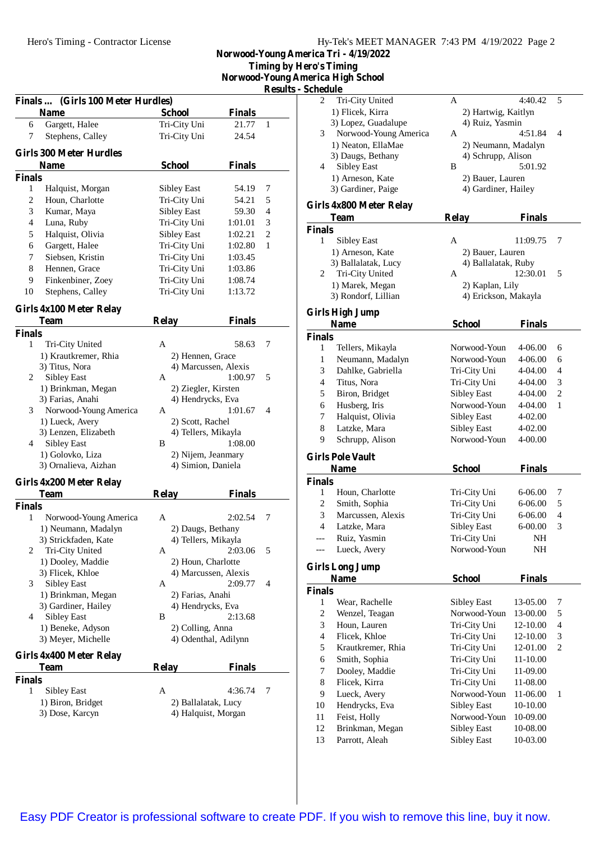|  | Hy-Tek's MEET MANAGER 7:43 PM 4/19/2022 Page 2 |  |  |
|--|------------------------------------------------|--|--|
|  |                                                |  |  |

**Norwood-Young America Tri - 4/19/2022 Timing by Hero's Timing**

**Norwood-Young America High School Results - Schedule**

|                    | Finals  (Girls 100 Meter Hurdles)      |                    |                      |                |
|--------------------|----------------------------------------|--------------------|----------------------|----------------|
|                    | <b>Name</b>                            | <b>School</b>      | Finals               |                |
| 6                  | Gargett, Halee                         | Tri-City Uni       | 21.77                | 1              |
| 7                  | Stephens, Calley                       | Tri-City Uni       | 24.54                |                |
|                    | <b>Girls 300 Meter Hurdles</b>         |                    |                      |                |
|                    | Name                                   | <b>School</b>      | <b>Finals</b>        |                |
| <b>Finals</b>      |                                        |                    |                      |                |
| 1                  | Halquist, Morgan                       | <b>Sibley East</b> | 54.19                | 7              |
| 2                  | Houn, Charlotte                        | Tri-City Uni       | 54.21                | 5              |
| 3                  | Kumar, Maya                            | <b>Sibley East</b> | 59.30                | 4              |
| 4                  | Luna, Ruby                             | Tri-City Uni       | 1:01.01              | 3              |
| 5                  | Halquist, Olivia                       | <b>Sibley East</b> | 1:02.21              | $\mathfrak{2}$ |
| 6                  | Gargett, Halee                         | Tri-City Uni       | 1:02.80              | 1              |
| 7                  | Siebsen, Kristin                       | Tri-City Uni       | 1:03.45              |                |
| 8                  | Hennen, Grace                          | Tri-City Uni       | 1:03.86              |                |
| 9                  | Finkenbiner, Zoey                      | Tri-City Uni       | 1:08.74              |                |
| 10                 | Stephens, Calley                       | Tri-City Uni       | 1:13.72              |                |
|                    | Girls 4x100 Meter Relay                |                    |                      |                |
|                    | <b>Team</b>                            | <b>Relay</b>       | <b>Finals</b>        |                |
| <b>Finals</b>      |                                        |                    |                      |                |
| 1                  | Tri-City United                        | A                  | 58.63                | 7              |
|                    | 1) Krautkremer, Rhia                   | 2) Hennen, Grace   |                      |                |
|                    | 3) Titus, Nora                         |                    | 4) Marcussen, Alexis |                |
| 2                  | <b>Sibley East</b>                     | A                  | 1:00.97              | 5              |
|                    | 1) Brinkman, Megan                     |                    | 2) Ziegler, Kirsten  |                |
|                    | 3) Farias, Anahi                       |                    | 4) Hendrycks, Eva    |                |
| 3                  | Norwood-Young America                  | A                  | 1:01.67              | 4              |
|                    | 1) Lueck, Avery                        | 2) Scott, Rachel   |                      |                |
|                    | 3) Lenzen, Elizabeth                   |                    | 4) Tellers, Mikayla  |                |
| 4                  | <b>Sibley East</b>                     | B                  | 1:08.00              |                |
|                    | 1) Golovko, Liza                       |                    | 2) Nijem, Jeanmary   |                |
|                    | 3) Ornalieva, Aizhan                   |                    | 4) Simion, Daniela   |                |
|                    | Girls 4x200 Meter Relay                |                    |                      |                |
|                    | <b>Team</b>                            | <b>Relay</b>       | <b>Finals</b>        |                |
| <b>Finals</b><br>1 | Norwood-Young America                  | A                  | 2:02.54              | 7              |
|                    | 1) Neumann, Madalyn                    |                    | 2) Daugs, Bethany    |                |
|                    | 3) Strickfaden, Kate                   |                    | 4) Tellers, Mikayla  |                |
| 2                  | Tri-City United                        | А                  | 2:03.06              | 5              |
|                    | 1) Dooley, Maddie                      |                    | 2) Houn, Charlotte   |                |
|                    | 3) Flicek, Khloe                       |                    | 4) Marcussen, Alexis |                |
| 3                  | <b>Sibley East</b>                     | А                  | 2:09.77              | 4              |
|                    | 1) Brinkman, Megan                     | 2) Farias, Anahi   |                      |                |
|                    | 3) Gardiner, Hailey                    |                    | 4) Hendrycks, Eva    |                |
| 4                  | <b>Sibley East</b>                     | B                  | 2:13.68              |                |
|                    | 1) Beneke, Adyson                      | 2) Colling, Anna   |                      |                |
|                    | 3) Meyer, Michelle                     |                    | 4) Odenthal, Adilynn |                |
|                    |                                        |                    |                      |                |
|                    | Girls 4x400 Meter Relay<br><b>Team</b> | <b>Relay</b>       | Finals               |                |
|                    |                                        |                    |                      |                |
|                    |                                        |                    |                      |                |
| <b>Finals</b><br>1 |                                        | A                  | 4:36.74              | 7              |
|                    | Sibley East<br>1) Biron, Bridget       |                    | 2) Ballalatak, Lucy  |                |

| <b>Schedule</b> |                                        |                                         |               |                |
|-----------------|----------------------------------------|-----------------------------------------|---------------|----------------|
| 2               | Tri-City United                        | A                                       | 4:40.42       | 5              |
|                 | 1) Flicek, Kirra                       | 2) Hartwig, Kaitlyn                     |               |                |
|                 | 3) Lopez, Guadalupe                    | 4) Ruiz, Yasmin                         |               |                |
| 3               | Norwood-Young America                  | A                                       | 4:51.84       | 4              |
|                 | 1) Neaton, EllaMae                     | 2) Neumann, Madalyn                     |               |                |
|                 | 3) Daugs, Bethany                      | 4) Schrupp, Alison<br>B                 |               |                |
| 4               | <b>Sibley East</b>                     |                                         | 5:01.92       |                |
|                 | 1) Arneson, Kate<br>3) Gardiner, Paige | 2) Bauer, Lauren<br>4) Gardiner, Hailey |               |                |
|                 |                                        |                                         |               |                |
|                 | Girls 4x800 Meter Relay                |                                         |               |                |
|                 | Team                                   | <b>Relay</b>                            | <b>Finals</b> |                |
| <b>Finals</b>   |                                        |                                         |               |                |
| 1               | Sibley East                            | A                                       | 11:09.75      | 7              |
|                 | 1) Arneson, Kate                       | 2) Bauer, Lauren                        |               |                |
| 2               | 3) Ballalatak, Lucy<br>Tri-City United | 4) Ballalatak, Ruby<br>A                | 12:30.01      | 5              |
|                 | 1) Marek, Megan                        | 2) Kaplan, Lily                         |               |                |
|                 | 3) Rondorf, Lillian                    | 4) Erickson, Makayla                    |               |                |
|                 |                                        |                                         |               |                |
|                 | <b>Girls High Jump</b>                 |                                         |               |                |
|                 | <b>Name</b>                            | <b>School</b>                           | <b>Finals</b> |                |
| <b>Finals</b>   |                                        |                                         |               |                |
| 1               | Tellers, Mikayla                       | Norwood-Youn                            | 4-06.00       | 6              |
| 1               | Neumann, Madalyn                       | Norwood-Youn                            | 4-06.00       | 6              |
| 3               | Dahlke, Gabriella                      | Tri-City Uni                            | 4-04.00       | 4              |
| 4               | Titus, Nora                            | Tri-City Uni                            | 4-04.00       | 3              |
| 5               | Biron, Bridget                         | <b>Sibley East</b>                      | 4-04.00       | $\overline{c}$ |
| 6               | Husberg, Iris                          | Norwood-Youn                            | 4-04.00       | 1              |
| 7               | Halquist, Olivia                       | <b>Sibley East</b>                      | 4-02.00       |                |
| 8               | Latzke, Mara                           | <b>Sibley East</b>                      | 4-02.00       |                |
| 9               | Schrupp, Alison                        | Norwood-Youn                            | 4-00.00       |                |
|                 | <b>Girls Pole Vault</b>                |                                         |               |                |
|                 | <b>Name</b>                            | <b>School</b>                           | <b>Finals</b> |                |
| <b>Finals</b>   |                                        |                                         |               |                |
| 1               | Houn, Charlotte                        | Tri-City Uni                            | 6-06.00       | 7              |
| 2               | Smith, Sophia                          | Tri-City Uni                            | $6 - 06.00$   | 5              |
| 3               | Marcussen, Alexis                      | Tri-City Uni                            | 6-06.00       | $\overline{4}$ |
| 4               | Latzke, Mara                           | <b>Sibley East</b>                      | $6 - 00.00$   | 3              |
|                 | Ruiz, Yasmin                           | Tri-City Uni                            | NH            |                |
|                 | Lueck, Avery                           | Norwood-Youn                            | NΗ            |                |
|                 | <b>Girls Long Jump</b>                 |                                         |               |                |
|                 | <b>Name</b>                            | <b>School</b>                           | <b>Finals</b> |                |
| <b>Finals</b>   |                                        |                                         |               |                |
| 1               | Wear, Rachelle                         | Sibley East                             | 13-05.00      | 7              |
| 2               | Wenzel, Teagan                         | Norwood-Youn                            | 13-00.00      | 5              |
| 3               | Houn, Lauren                           | Tri-City Uni                            | 12-10.00      | 4              |
| 4               | Flicek, Khloe                          | Tri-City Uni                            | 12-10.00      | 3              |
| 5               | Krautkremer, Rhia                      | Tri-City Uni                            | 12-01.00      | 2              |
| 6               | Smith, Sophia                          | Tri-City Uni                            | 11-10.00      |                |
| 7               | Dooley, Maddie                         | Tri-City Uni                            | 11-09.00      |                |
| 8               | Flicek, Kirra                          | Tri-City Uni                            | 11-08.00      |                |
| 9               | Lueck, Avery                           | Norwood-Youn                            | 11-06.00      | 1              |
| 10              | Hendrycks, Eva                         | <b>Sibley East</b>                      | 10-10.00      |                |
| 11              | Feist, Holly                           | Norwood-Youn                            | 10-09.00      |                |
| 12              | Brinkman, Megan                        | <b>Sibley East</b>                      | 10-08.00      |                |
| 13              | Parrott, Aleah                         | <b>Sibley East</b>                      | 10-03.00      |                |
|                 |                                        |                                         |               |                |

[Easy PDF Creator is professional software to create PDF. If you wish to remove this line, buy it now.](http://www.pdfdesk.com)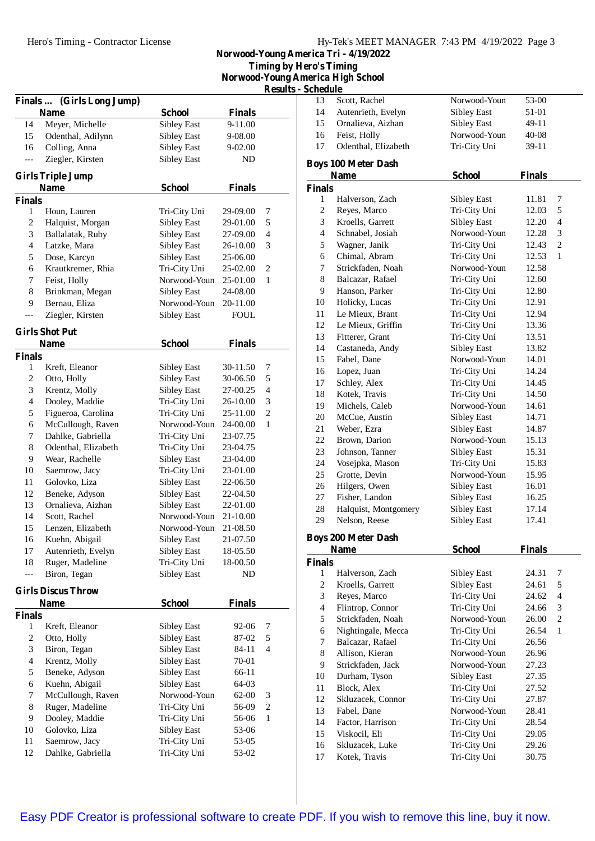**Norwood-Young America Tri - 4/19/2022 Timing by Hero's Timing Norwood-Young America High School**

| <b>Results - Schedule</b> |  |  |  |
|---------------------------|--|--|--|
|                           |  |  |  |

|                          |                                  |                    |               | <b>Results -</b> |
|--------------------------|----------------------------------|--------------------|---------------|------------------|
| <b>Finals </b>           | (Girls Long Jump)<br><b>Name</b> | <b>School</b>      | <b>Finals</b> |                  |
| 14                       | Meyer, Michelle                  | <b>Sibley East</b> | 9-11.00       |                  |
| 15                       | Odenthal, Adilynn                | <b>Sibley East</b> | 9-08.00       |                  |
| 16                       | Colling, Anna                    | Sibley East        | 9-02.00       |                  |
| ---                      | Ziegler, Kirsten                 | <b>Sibley East</b> | ND            |                  |
|                          |                                  |                    |               |                  |
|                          | <b>Girls Triple Jump</b>         |                    |               |                  |
|                          | <b>Name</b>                      | <b>School</b>      | <b>Finals</b> |                  |
| Finals<br>1              | Houn, Lauren                     | Tri-City Uni       | 29-09.00      | 7                |
| $\overline{c}$           | Halquist, Morgan                 | Sibley East        | 29-01.00      | 5                |
| 3                        | Ballalatak, Ruby                 | Sibley East        | 27-09.00      | $\overline{4}$   |
| $\overline{\mathcal{L}}$ | Latzke, Mara                     | Sibley East        | 26-10.00      | 3                |
| 5                        | Dose, Karcyn                     | <b>Sibley East</b> | 25-06.00      |                  |
| 6                        | Krautkremer, Rhia                | Tri-City Uni       | 25-02.00      | $\mathfrak{2}$   |
| 7                        | Feist, Holly                     | Norwood-Youn       | 25-01.00      | 1                |
| $\,$ 8 $\,$              | Brinkman, Megan                  | Sibley East        | 24-08.00      |                  |
| 9                        | Bernau, Eliza                    | Norwood-Youn       | 20-11.00      |                  |
|                          | Ziegler, Kirsten                 | Sibley East        | <b>FOUL</b>   |                  |
|                          | <b>Girls Shot Put</b>            |                    |               |                  |
|                          | <b>Name</b>                      | <b>School</b>      | <b>Finals</b> |                  |
| Finals                   |                                  |                    |               |                  |
| 1                        | Kreft, Eleanor                   | Sibley East        | 30-11.50      | 7                |
| $\overline{c}$           | Otto, Holly                      | <b>Sibley East</b> | 30-06.50      | 5                |
| 3                        | Krentz, Molly                    | <b>Sibley East</b> | 27-00.25      | $\overline{4}$   |
| $\overline{\mathcal{L}}$ | Dooley, Maddie                   | Tri-City Uni       | 26-10.00      | 3                |
| 5                        | Figueroa, Carolina               | Tri-City Uni       | 25-11.00      | $\overline{c}$   |
| 6                        | McCullough, Raven                | Norwood-Youn       | 24-00.00      | 1                |
| 7                        | Dahlke, Gabriella                | Tri-City Uni       | 23-07.75      |                  |
| $\,$ 8 $\,$              | Odenthal, Elizabeth              | Tri-City Uni       | 23-04.75      |                  |
| 9                        | Wear, Rachelle                   | Sibley East        | 23-04.00      |                  |
| 10                       | Saemrow, Jacy                    | Tri-City Uni       | 23-01.00      |                  |
| 11                       | Golovko, Liza                    | <b>Sibley East</b> | 22-06.50      |                  |
| 12                       | Beneke, Adyson                   | <b>Sibley East</b> | 22-04.50      |                  |
| 13                       | Ornalieva, Aizhan                | <b>Sibley East</b> | 22-01.00      |                  |
| 14                       | Scott, Rachel                    | Norwood-Youn       | 21-10.00      |                  |
| 15                       | Lenzen, Elizabeth                | Norwood-Youn       | 21-08.50      |                  |
| 16                       | Kuehn, Abigail                   | Sibley East        | 21-07.50      |                  |
| 17                       | Autenrieth, Evelyn               | <b>Sibley East</b> | 18-05.50      |                  |
| 18                       | Ruger, Madeline                  | Tri-City Uni       | 18-00.50      |                  |
| ---                      | Biron, Tegan                     | Sibley East        | ND            |                  |
|                          | <b>Girls Discus Throw</b>        |                    |               |                  |
|                          | <b>Name</b>                      | <b>School</b>      | <b>Finals</b> |                  |
| Finals                   |                                  |                    |               |                  |
| $\mathbf{1}$             | Kreft, Eleanor                   | Sibley East        | 92-06         | 7                |
| $\overline{\mathbf{c}}$  | Otto, Holly                      | Sibley East        | 87-02         | 5                |
| 3                        | Biron, Tegan                     | <b>Sibley East</b> | 84-11         | $\overline{4}$   |
| $\overline{\mathbf{4}}$  | Krentz, Molly                    | Sibley East        | 70-01         |                  |
| 5                        | Beneke, Adyson                   | <b>Sibley East</b> | 66-11         |                  |
| 6                        | Kuehn, Abigail                   | Sibley East        | 64-03         |                  |
| 7                        | McCullough, Raven                | Norwood-Youn       | 62-00         | 3                |
| 8                        | Ruger, Madeline                  | Tri-City Uni       | 56-09         | $\boldsymbol{2}$ |
| 9                        | Dooley, Maddie                   | Tri-City Uni       | 56-06         | $\mathbf{1}$     |
| 10                       | Golovko, Liza                    | Sibley East        | 53-06         |                  |
| 11                       | Saemrow, Jacy                    | Tri-City Uni       | 53-05         |                  |
| 12                       | Dahlke, Gabriella                | Tri-City Uni       | 53-02         |                  |

| neauıe |                                |              |           |  |
|--------|--------------------------------|--------------|-----------|--|
| 13     | Scott, Rachel                  | Norwood-Youn | 53-00     |  |
| 14     | Autenrieth, Evelyn             | Sibley East  | 51-01     |  |
| 15     | Ornalieva, Aizhan              | Sibley East  | $49-11$   |  |
| 16     | Feist, Holly                   | Norwood-Youn | $40 - 08$ |  |
| 17     | Odenthal, Elizabeth            | Tri-City Uni | $39-11$   |  |
|        | $\sim$ 100 M $\sim$ D $\sim$ 1 |              |           |  |

## **Boys 100 Meter Dash**

|                | <b>Name</b>                | <b>School</b>      | <b>Finals</b> |                |
|----------------|----------------------------|--------------------|---------------|----------------|
| <b>Finals</b>  |                            |                    |               |                |
| 1              | Halverson, Zach            | Sibley East        | 11.81         | 7              |
| 2              | Reyes, Marco               | Tri-City Uni       | 12.03         | 5              |
| 3              | Kroells, Garrett           | Sibley East        | 12.20         | $\overline{4}$ |
| $\overline{4}$ | Schnabel, Josiah           | Norwood-Youn       | 12.28         | 3              |
| 5              | Wagner, Janik              | Tri-City Uni       | 12.43         | $\overline{c}$ |
| 6              | Chimal, Abram              | Tri-City Uni       | 12.53         | 1              |
| 7              | Strickfaden, Noah          | Norwood-Youn       | 12.58         |                |
| 8              | Balcazar, Rafael           | Tri-City Uni       | 12.60         |                |
| 9              | Hanson, Parker             | Tri-City Uni       | 12.80         |                |
| 10             | Holicky, Lucas             | Tri-City Uni       | 12.91         |                |
| 11             | Le Mieux, Brant            | Tri-City Uni       | 12.94         |                |
| 12             | Le Mieux, Griffin          | Tri-City Uni       | 13.36         |                |
| 13             | Fitterer, Grant            | Tri-City Uni       | 13.51         |                |
| 14             | Castaneda, Andy            | Sibley East        | 13.82         |                |
| 15             | Fabel, Dane                | Norwood-Youn       | 14.01         |                |
| 16             | Lopez, Juan                | Tri-City Uni       | 14.24         |                |
| 17             | Schley, Alex               | Tri-City Uni       | 14.45         |                |
| 18             | Kotek, Travis              | Tri-City Uni       | 14.50         |                |
| 19             | Michels, Caleb             | Norwood-Youn       | 14.61         |                |
| 20             | McCue, Austin              | <b>Sibley East</b> | 14.71         |                |
| 21             | Weber, Ezra                | Sibley East        | 14.87         |                |
| 22             | Brown, Darion              | Norwood-Youn       | 15.13         |                |
| 23             | Johnson, Tanner            | <b>Sibley East</b> | 15.31         |                |
| 24             | Vosejpka, Mason            | Tri-City Uni       | 15.83         |                |
| 25             | Grotte, Devin              | Norwood-Youn       | 15.95         |                |
| 26             | Hilgers, Owen              | Sibley East        | 16.01         |                |
| 27             | Fisher, Landon             | Sibley East        | 16.25         |                |
| 28             |                            | <b>Sibley East</b> |               |                |
| 29             | Halquist, Montgomery       |                    | 17.14         |                |
|                | Nelson, Reese              | <b>Sibley East</b> | 17.41         |                |
|                | <b>Boys 200 Meter Dash</b> |                    |               |                |
|                | <b>Name</b>                | <b>School</b>      | <b>Finals</b> |                |
| <b>Finals</b>  |                            |                    |               |                |
| 1              | Halverson, Zach            | Sibley East        | 24.31         | 7              |
| 2              | Kroells, Garrett           | Sibley East        | 24.61         | 5              |
| 3              | Reyes, Marco               | Tri-City Uni       | 24.62         | $\overline{4}$ |
| 4              | Flintrop, Connor           | Tri-City Uni       | 24.66         | 3              |
| 5              | Strickfaden, Noah          | Norwood-Youn       | 26.00         | $\mathfrak{D}$ |
| 6              | Nightingale, Mecca         | Tri-City Uni       | 26.54         | 1              |
| 7              | Balcazar, Rafael           | Tri-City Uni       | 26.56         |                |
| 8              | Allison, Kieran            | Norwood-Youn       | 26.96         |                |
| 9              | Strickfaden, Jack          | Norwood-Youn       | 27.23         |                |
| 10             | Durham, Tyson              | <b>Sibley East</b> | 27.35         |                |
| 11             | Block, Alex                | Tri-City Uni       | 27.52         |                |
| 12             | Skluzacek, Connor          | Tri-City Uni       | 27.87         |                |
| 13             | Fabel, Dane                | Norwood-Youn       | 28.41         |                |
| 14             | Factor, Harrison           | Tri-City Uni       | 28.54         |                |
| 15             | Viskocil, Eli              | Tri-City Uni       | 29.05         |                |
| 16             | Skluzacek, Luke            | Tri-City Uni       | 29.26         |                |
| 17             | Kotek, Travis              | Tri-City Uni       | 30.75         |                |
|                |                            |                    |               |                |

[Easy PDF Creator is professional software to create PDF. If you wish to remove this line, buy it now.](http://www.pdfdesk.com)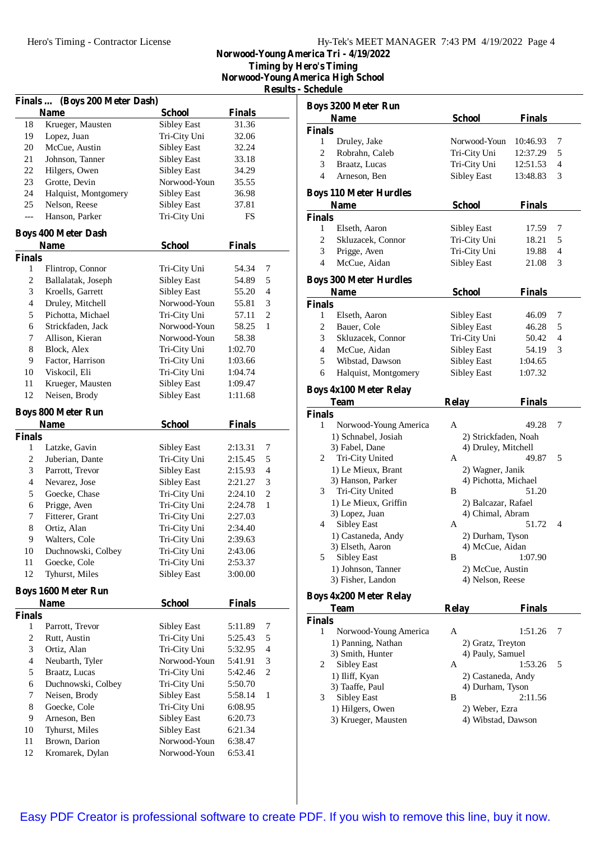| Hy-Tek's MEET MANAGER 7:43 PM 4/19/2022 Page 4 |  |  |  |
|------------------------------------------------|--|--|--|
|------------------------------------------------|--|--|--|

**Norwood-Young America Tri - 4/19/2022 Timing by Hero's Timing**

**Norwood-Young America High School**

**Results** - **S** 

| Finals  (Boys 200 Meter Dash) |                            |                    |               |                |  |
|-------------------------------|----------------------------|--------------------|---------------|----------------|--|
|                               | <b>Name</b>                | <b>School</b>      | <b>Finals</b> |                |  |
| 18                            | Krueger, Mausten           | <b>Sibley East</b> | 31.36         |                |  |
| 19                            | Lopez, Juan                | Tri-City Uni       | 32.06         |                |  |
| 20                            | McCue, Austin              | Sibley East        | 32.24         |                |  |
| 21                            | Johnson, Tanner            | Sibley East        | 33.18         |                |  |
| 22                            | Hilgers, Owen              | <b>Sibley East</b> | 34.29         |                |  |
| 23                            | Grotte, Devin              | Norwood-Youn       | 35.55         |                |  |
| 24                            | Halquist, Montgomery       | Sibley East        | 36.98         |                |  |
| 25                            | Nelson, Reese              | <b>Sibley East</b> | 37.81         |                |  |
| ---                           | Hanson, Parker             | Tri-City Uni       | FS            |                |  |
|                               | <b>Boys 400 Meter Dash</b> |                    |               |                |  |
|                               | <b>Name</b>                | <b>School</b>      | <b>Finals</b> |                |  |
| <b>Finals</b>                 |                            |                    |               |                |  |
| 1                             | Flintrop, Connor           | Tri-City Uni       | 54.34         | 7              |  |
| 2                             | Ballalatak, Joseph         | <b>Sibley East</b> | 54.89         | 5              |  |
| 3                             | Kroells, Garrett           | <b>Sibley East</b> | 55.20         | 4              |  |
| $\overline{4}$                | Druley, Mitchell           | Norwood-Youn       | 55.81         | 3              |  |
| 5                             | Pichotta, Michael          | Tri-City Uni       | 57.11         | 2              |  |
| 6                             | Strickfaden, Jack          | Norwood-Youn       | 58.25         | $\mathbf{1}$   |  |
| 7                             | Allison, Kieran            | Norwood-Youn       | 58.38         |                |  |
| 8                             | Block, Alex                | Tri-City Uni       | 1:02.70       |                |  |
| 9                             | Factor, Harrison           | Tri-City Uni       | 1:03.66       |                |  |
| 10                            | Viskocil, Eli              | Tri-City Uni       | 1:04.74       |                |  |
| 11                            | Krueger, Mausten           | Sibley East        | 1:09.47       |                |  |
| 12                            | Neisen, Brody              | <b>Sibley East</b> | 1:11.68       |                |  |
|                               |                            |                    |               |                |  |
|                               | <b>Boys 800 Meter Run</b>  |                    |               |                |  |
|                               | <b>Name</b>                | <b>School</b>      | <b>Finals</b> |                |  |
| <b>Finals</b>                 |                            |                    |               |                |  |
| 1                             | Latzke, Gavin              | Sibley East        | 2:13.31       | 7              |  |
| 2                             | Juberian, Dante            | Tri-City Uni       | 2:15.45       | 5              |  |
| 3                             | Parrott, Trevor            | Sibley East        | 2:15.93       | 4              |  |
| $\overline{4}$                | Nevarez, Jose              | Sibley East        | 2:21.27       | 3              |  |
| 5                             | Goecke, Chase              | Tri-City Uni       | 2:24.10       | $\overline{c}$ |  |
| 6                             | Prigge, Aven               | Tri-City Uni       | 2:24.78       | 1              |  |
| 7                             | Fitterer, Grant            | Tri-City Uni       | 2:27.03       |                |  |
| 8                             | Ortiz, Alan                | Tri-City Uni       | 2:34.40       |                |  |
| 9                             | Walters, Cole              | Tri-City Uni       | 2:39.63       |                |  |
| 10                            | Duchnowski, Colbey         | Tri-City Uni       | 2:43.06       |                |  |
| 11                            | Goecke, Cole               | Tri-City Uni       | 2:53.37       |                |  |
| 12                            | Tyhurst, Miles             | <b>Sibley East</b> | 3:00.00       |                |  |
|                               | <b>Boys 1600 Meter Run</b> |                    |               |                |  |
|                               | <b>Name</b>                | <b>School</b>      | <b>Finals</b> |                |  |
| <b>Finals</b>                 |                            |                    |               |                |  |
| 1                             | Parrott, Trevor            | Sibley East        | 5:11.89       | 7              |  |
| 2                             | Rutt, Austin               | Tri-City Uni       | 5:25.43       | 5              |  |
| 3                             | Ortiz, Alan                | Tri-City Uni       | 5:32.95       | 4              |  |
| $\overline{\mathbf{4}}$       | Neubarth, Tyler            | Norwood-Youn       | 5:41.91       | 3              |  |
| 5                             | Braatz, Lucas              | Tri-City Uni       | 5:42.46       | $\overline{c}$ |  |
| 6                             | Duchnowski, Colbey         | Tri-City Uni       | 5:50.70       |                |  |
| 7                             | Neisen, Brody              | <b>Sibley East</b> | 5:58.14       | $\mathbf{1}$   |  |
| $\,$ 8 $\,$                   | Goecke, Cole               | Tri-City Uni       | 6:08.95       |                |  |
| 9                             | Arneson, Ben               | <b>Sibley East</b> | 6:20.73       |                |  |
| 10                            | Tyhurst, Miles             | <b>Sibley East</b> | 6:21.34       |                |  |
| 11                            | Brown, Darion              | Norwood-Youn       | 6:38.47       |                |  |
| 12                            | Kromarek, Dylan            | Norwood-Youn       | 6:53.41       |                |  |

| <b>Schedule</b>          |                                       |                       |               |   |
|--------------------------|---------------------------------------|-----------------------|---------------|---|
|                          | <b>Boys 3200 Meter Run</b>            |                       |               |   |
|                          | <b>Name</b>                           | School                | <b>Finals</b> |   |
| <b>Finals</b>            |                                       |                       |               |   |
| 1                        | Druley, Jake                          | Norwood-Youn          | 10:46.93      | 7 |
| $\overline{c}$           | Robrahn, Caleb                        | Tri-City Uni          | 12:37.29      | 5 |
| 3                        | Braatz, Lucas                         | Tri-City Uni          | 12:51.53      | 4 |
| 4                        | Arneson, Ben                          | <b>Sibley East</b>    | 13:48.83      | 3 |
|                          |                                       |                       |               |   |
|                          | <b>Boys 110 Meter Hurdles</b>         |                       |               |   |
|                          | Name                                  | <b>School</b>         | <b>Finals</b> |   |
| <b>Finals</b>            |                                       |                       |               |   |
| 1                        | Elseth, Aaron                         | Sibley East           | 17.59         | 7 |
| 2                        | Skluzacek, Connor                     | Tri-City Uni          | 18.21         | 5 |
| 3                        | Prigge, Aven                          | Tri-City Uni          | 19.88         | 4 |
| $\overline{\mathcal{L}}$ | McCue, Aidan                          | <b>Sibley East</b>    | 21.08         | 3 |
|                          | <b>Boys 300 Meter Hurdles</b>         |                       |               |   |
|                          | <b>Name</b>                           | <b>School</b>         | <b>Finals</b> |   |
| <b>Finals</b>            |                                       |                       |               |   |
| 1                        | Elseth, Aaron                         | Sibley East           | 46.09         | 7 |
| 2                        | Bauer, Cole                           | <b>Sibley East</b>    | 46.28         | 5 |
| 3                        | Skluzacek, Connor                     | Tri-City Uni          | 50.42         | 4 |
| 4                        | McCue, Aidan                          | <b>Sibley East</b>    | 54.19         | 3 |
| 5                        | Wibstad, Dawson                       | <b>Sibley East</b>    | 1:04.65       |   |
| 6                        | Halquist, Montgomery                  | <b>Sibley East</b>    | 1:07.32       |   |
|                          |                                       |                       |               |   |
|                          | <b>Boys 4x100 Meter Relay</b>         |                       |               |   |
|                          | <b>Team</b>                           | <b>Relay</b>          | <b>Finals</b> |   |
| <b>Finals</b>            |                                       |                       |               |   |
|                          |                                       |                       |               |   |
| 1                        | Norwood-Young America                 | A                     | 49.28         | 7 |
|                          | 1) Schnabel, Josiah                   | 2) Strickfaden, Noah  |               |   |
|                          | 3) Fabel, Dane                        | 4) Druley, Mitchell   |               |   |
| 2                        | Tri-City United                       | A                     | 49.87         | 5 |
|                          | 1) Le Mieux, Brant                    | 2) Wagner, Janik      |               |   |
|                          | 3) Hanson, Parker                     | 4) Pichotta, Michael  |               |   |
| 3                        | Tri-City United                       | B                     | 51.20         |   |
|                          | 1) Le Mieux, Griffin                  | 2) Balcazar, Rafael   |               |   |
|                          | 3) Lopez, Juan                        | 4) Chimal, Abram      |               |   |
| 4                        | <b>Sibley East</b>                    | А                     | 51.72         | 4 |
|                          | 1) Castaneda, Andy                    | 2) Durham, Tyson      |               |   |
|                          | 3) Elseth, Aaron                      | 4) McCue, Aidan       |               |   |
| 5                        | Sibley East                           | В                     | 1:07.90       |   |
|                          | 1) Johnson, Tanner                    | 2) McCue, Austin      |               |   |
|                          | 3) Fisher, Landon                     | 4) Nelson, Reese      |               |   |
|                          | <b>Boys 4x200 Meter Relay</b>         |                       |               |   |
|                          | <b>Team</b>                           | <b>Relay</b>          | <b>Finals</b> |   |
| <b>Finals</b>            |                                       |                       |               |   |
| 1                        | Norwood-Young America                 | A                     | 1:51.26       | 7 |
|                          | 1) Panning, Nathan                    | 2) Gratz, Treyton     |               |   |
|                          | 3) Smith, Hunter                      | 4) Pauly, Samuel      |               |   |
| 2                        | Sibley East                           | А                     | 1:53.26       | 5 |
|                          | 1) Iliff, Kyan                        | 2) Castaneda, Andy    |               |   |
| 3                        | 3) Taaffe, Paul<br><b>Sibley East</b> | 4) Durham, Tyson<br>В | 2:11.56       |   |

- 
- 1) Hilgers, Owen 2) Weber, Ezra<br>
3) Krueger, Mausten 4) Wibstad, Dawson 3) Krueger, Mausten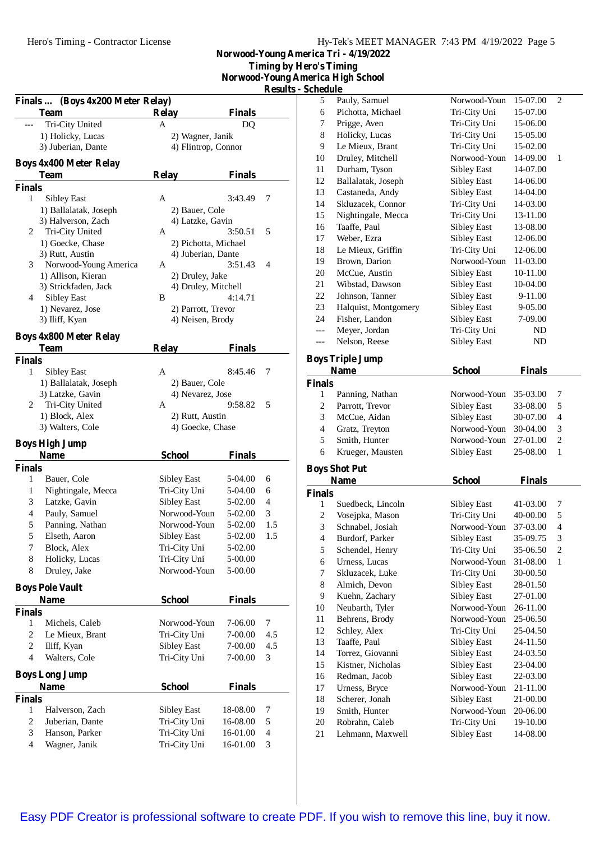**Norwood-Young America Tri - 4/19/2022 Timing by Hero's Timing Norwood-Young America High School**

 $Results - Scl$ 

| Finals  (Boys 4x200 Meter Relay)           |                                        |                    | <b>COMILO</b>  |
|--------------------------------------------|----------------------------------------|--------------------|----------------|
| <b>Team</b>                                | <b>Relay</b>                           | Finals             |                |
| Tri-City United                            | A                                      | DQ                 |                |
| 1) Holicky, Lucas                          | 2) Wagner, Janik                       |                    |                |
| 3) Juberian, Dante                         | 4) Flintrop, Connor                    |                    |                |
| <b>Boys 4x400 Meter Relay</b>              |                                        |                    |                |
| <b>Team</b>                                | <b>Relay</b>                           | <b>Finals</b>      |                |
| <b>Finals</b>                              |                                        |                    |                |
| 1<br>Sibley East                           | Α                                      | 3:43.49            | 7              |
| 1) Ballalatak, Joseph                      | 2) Bauer, Cole                         |                    |                |
| 3) Halverson, Zach                         | 4) Latzke, Gavin                       |                    |                |
| Tri-City United<br>2                       | А                                      | 3:50.51            | 5              |
| 1) Goecke, Chase                           | 2) Pichotta, Michael                   |                    |                |
| 3) Rutt, Austin                            | 4) Juberian, Dante                     |                    |                |
| Norwood-Young America<br>3                 | А                                      | 3:51.43            | 4              |
| 1) Allison, Kieran<br>3) Strickfaden, Jack | 2) Druley, Jake<br>4) Druley, Mitchell |                    |                |
| Sibley East<br>4                           | B                                      | 4:14.71            |                |
| 1) Nevarez, Jose                           | 2) Parrott, Trevor                     |                    |                |
| 3) Iliff, Kyan                             | 4) Neisen, Brody                       |                    |                |
| <b>Boys 4x800 Meter Relay</b>              |                                        |                    |                |
| Team                                       | <b>Relay</b>                           | <b>Finals</b>      |                |
| <b>Finals</b>                              |                                        |                    |                |
| 1<br>Sibley East                           | A                                      | 8:45.46            | 7              |
| 1) Ballalatak, Joseph                      | 2) Bauer, Cole                         |                    |                |
| 3) Latzke, Gavin                           | 4) Nevarez, Jose                       |                    |                |
| Tri-City United<br>2                       | A                                      | 9:58.82            | 5              |
| 1) Block, Alex                             | 2) Rutt, Austin                        |                    |                |
| 3) Walters, Cole                           | 4) Goecke, Chase                       |                    |                |
| <b>Boys High Jump</b>                      |                                        |                    |                |
| Name                                       | <b>School</b>                          | <b>Finals</b>      |                |
| <b>Finals</b>                              |                                        |                    |                |
| 1<br>Bauer, Cole                           | Sibley East                            | 5-04.00            | 6              |
| 1<br>Nightingale, Mecca                    | Tri-City Uni                           | 5-04.00            | 6              |
| Latzke, Gavin<br>3                         | <b>Sibley East</b>                     | 5-02.00            | 4              |
| 4<br>Pauly, Samuel                         | Norwood-Youn                           | 5-02.00            | 3              |
| 5<br>Panning, Nathan                       | Norwood-Youn                           | 5-02.00            | 1.5            |
| 5<br>Elseth, Aaron                         | <b>Sibley East</b>                     | 5-02.00            | 1.5            |
| 7<br>Block, Alex<br>8<br>Holicky, Lucas    | Tri-City Uni<br>Tri-City Uni           | 5-02.00<br>5-00.00 |                |
| 8<br>Druley, Jake                          | Norwood-Youn                           | 5-00.00            |                |
|                                            |                                        |                    |                |
| <b>Boys Pole Vault</b>                     |                                        |                    |                |
| <b>Name</b>                                | <b>School</b>                          | <b>Finals</b>      |                |
| <b>Finals</b><br>1<br>Michels, Caleb       | Norwood-Youn                           | 7-06.00            | 7              |
| $\mathfrak{2}$<br>Le Mieux, Brant          | Tri-City Uni                           | 7-00.00            | 4.5            |
| $\sqrt{2}$<br>Iliff, Kyan                  | Sibley East                            | 7-00.00            | 4.5            |
| $\overline{\mathcal{L}}$<br>Walters, Cole  | Tri-City Uni                           | 7-00.00            | 3              |
|                                            |                                        |                    |                |
| <b>Boys Long Jump</b>                      |                                        |                    |                |
| Name<br><b>Finals</b>                      | <b>School</b>                          | <b>Finals</b>      |                |
| 1<br>Halverson, Zach                       | Sibley East                            | 18-08.00           | 7              |
| 2<br>Juberian, Dante                       | Tri-City Uni                           | 16-08.00           | 5              |
| 3<br>Hanson, Parker                        | Tri-City Uni                           | 16-01.00           | $\overline{4}$ |
| $\overline{4}$<br>Wagner, Janik            | Tri-City Uni                           | 16-01.00           | 3              |
|                                            |                                        |                    |                |

| пегіса підп эспоог       |                                  |                                          |                      |                         |
|--------------------------|----------------------------------|------------------------------------------|----------------------|-------------------------|
| Schedule                 |                                  |                                          |                      |                         |
| 5                        | Pauly, Samuel                    | Norwood-Youn                             | 15-07.00             | 2                       |
| 6                        | Pichotta, Michael                | Tri-City Uni                             | 15-07.00             |                         |
| 7                        | Prigge, Aven                     | Tri-City Uni                             | 15-06.00             |                         |
| 8                        | Holicky, Lucas                   | Tri-City Uni                             | 15-05.00             |                         |
| 9                        | Le Mieux, Brant                  | Tri-City Uni                             | 15-02.00             |                         |
| 10                       | Druley, Mitchell                 | Norwood-Youn                             | 14-09.00             | 1                       |
| 11                       | Durham, Tyson                    | <b>Sibley East</b>                       | 14-07.00             |                         |
| 12                       | Ballalatak, Joseph               | Sibley East                              | 14-06.00             |                         |
| 13                       | Castaneda, Andy                  | <b>Sibley East</b>                       | 14-04.00             |                         |
| 14                       | Skluzacek, Connor                | Tri-City Uni                             | 14-03.00             |                         |
| 15                       | Nightingale, Mecca               | Tri-City Uni                             | 13-11.00             |                         |
| 16                       | Taaffe, Paul                     | Sibley East                              | 13-08.00             |                         |
| 17                       | Weber, Ezra                      | <b>Sibley East</b>                       | 12-06.00             |                         |
| 18                       | Le Mieux, Griffin                | Tri-City Uni                             | 12-06.00             |                         |
| 19                       | Brown, Darion                    | Norwood-Youn                             | 11-03.00             |                         |
| 20                       | McCue, Austin                    | <b>Sibley East</b>                       | 10-11.00             |                         |
| 21                       | Wibstad, Dawson                  | <b>Sibley East</b>                       | 10-04.00             |                         |
| 22                       | Johnson, Tanner                  | <b>Sibley East</b>                       | 9-11.00              |                         |
| 23                       | Halquist, Montgomery             | <b>Sibley East</b>                       | 9-05.00              |                         |
| 24                       | Fisher, Landon                   | Sibley East                              | 7-09.00              |                         |
| ---                      | Meyer, Jordan                    | Tri-City Uni                             | ND                   |                         |
| ---                      | Nelson, Reese                    | <b>Sibley East</b>                       | ND                   |                         |
|                          | <b>Boys Triple Jump</b>          |                                          |                      |                         |
|                          |                                  |                                          |                      |                         |
|                          |                                  |                                          |                      |                         |
|                          | <b>Name</b>                      | <b>School</b>                            | <b>Finals</b>        |                         |
| <b>Finals</b><br>1       |                                  | Norwood-Youn                             |                      |                         |
|                          | Panning, Nathan                  |                                          | 35-03.00             | 7                       |
| 2                        | Parrott, Trevor                  | <b>Sibley East</b>                       | 33-08.00             | 5<br>4                  |
| 3                        | McCue, Aidan                     | <b>Sibley East</b>                       | 30-07.00             |                         |
| $\overline{\mathcal{L}}$ | Gratz, Treyton                   | Norwood-Youn<br>Norwood-Youn             | 30-04.00             | 3                       |
| 5<br>6                   | Smith, Hunter                    |                                          | 27-01.00             | $\overline{c}$<br>1     |
|                          | Krueger, Mausten                 | Sibley East                              | 25-08.00             |                         |
|                          | <b>Boys Shot Put</b>             |                                          |                      |                         |
|                          | <b>Name</b>                      | <b>School</b>                            | <b>Finals</b>        |                         |
| <b>Finals</b>            |                                  |                                          |                      |                         |
| 1                        | Suedbeck, Lincoln                | Sibley East                              | 41-03.00             | 7                       |
| 2                        | Vosejpka, Mason                  | Tri-City Uni                             | 40-00.00             | 5                       |
| 3                        | Schnabel, Josiah                 | Norwood-Youn                             | 37-03.00             | $\overline{\mathbf{4}}$ |
| $\overline{\mathcal{L}}$ | Burdorf, Parker                  | <b>Sibley East</b>                       | 35-09.75             | 3                       |
| 5                        | Schendel, Henry                  | Tri-City Uni                             | 35-06.50             | 2                       |
| 6                        | Urness, Lucas                    | Norwood-Youn                             | 31-08.00             | 1                       |
| 7                        | Skluzacek, Luke                  | Tri-City Uni                             | 30-00.50             |                         |
| 8                        | Almich, Devon                    | <b>Sibley East</b>                       | 28-01.50             |                         |
| 9                        | Kuehn, Zachary                   | <b>Sibley East</b>                       | 27-01.00             |                         |
| 10                       | Neubarth, Tyler                  | Norwood-Youn                             | 26-11.00             |                         |
| 11                       | Behrens, Brody                   | Norwood-Youn                             | 25-06.50             |                         |
| 12                       | Schley, Alex                     | Tri-City Uni                             | 25-04.50             |                         |
| 13<br>14                 | Taaffe, Paul<br>Torrez, Giovanni | <b>Sibley East</b><br><b>Sibley East</b> | 24-11.50<br>24-03.50 |                         |

 Kistner, Nicholas Sibley East 23-04.00 Redman, Jacob Sibley East 22-03.00 Urness, Bryce Norwood-Youn 21-11.00 Scherer, Jonah Sibley East 21-00.00 Smith, Hunter Norwood-Youn 20-06.00 Robrahn, Caleb Tri-City Uni 19-10.00 Lehmann, Maxwell Sibley East 14-08.00

[Easy PDF Creator is professional software to create PDF. If you wish to remove this line, buy it now.](http://www.pdfdesk.com)